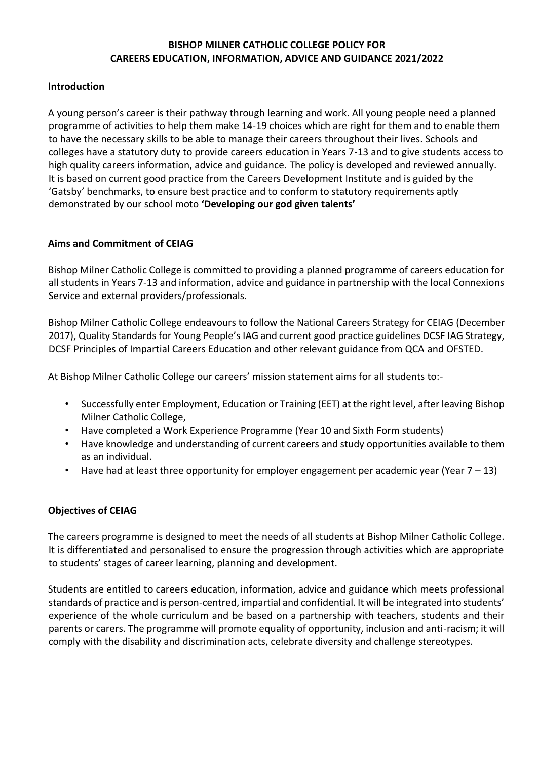## **BISHOP MILNER CATHOLIC COLLEGE POLICY FOR CAREERS EDUCATION, INFORMATION, ADVICE AND GUIDANCE 2021/2022**

## **Introduction**

A young person's career is their pathway through learning and work. All young people need a planned programme of activities to help them make 14-19 choices which are right for them and to enable them to have the necessary skills to be able to manage their careers throughout their lives. Schools and colleges have a statutory duty to provide careers education in Years 7-13 and to give students access to high quality careers information, advice and guidance. The policy is developed and reviewed annually. It is based on current good practice from the Careers Development Institute and is guided by the 'Gatsby' benchmarks, to ensure best practice and to conform to statutory requirements aptly demonstrated by our school moto **'Developing our god given talents'**

## **Aims and Commitment of CEIAG**

Bishop Milner Catholic College is committed to providing a planned programme of careers education for all students in Years 7-13 and information, advice and guidance in partnership with the local Connexions Service and external providers/professionals.

Bishop Milner Catholic College endeavours to follow the National Careers Strategy for CEIAG (December 2017), Quality Standards for Young People's IAG and current good practice guidelines DCSF IAG Strategy, DCSF Principles of Impartial Careers Education and other relevant guidance from QCA and OFSTED.

At Bishop Milner Catholic College our careers' mission statement aims for all students to:-

- Successfully enter Employment, Education or Training (EET) at the right level, after leaving Bishop Milner Catholic College,
- Have completed a Work Experience Programme (Year 10 and Sixth Form students)
- Have knowledge and understanding of current careers and study opportunities available to them as an individual.
- Have had at least three opportunity for employer engagement per academic year (Year  $7 13$ )

#### **Objectives of CEIAG**

The careers programme is designed to meet the needs of all students at Bishop Milner Catholic College. It is differentiated and personalised to ensure the progression through activities which are appropriate to students' stages of career learning, planning and development.

Students are entitled to careers education, information, advice and guidance which meets professional standards of practice and is person-centred, impartial and confidential. It will be integrated into students' experience of the whole curriculum and be based on a partnership with teachers, students and their parents or carers. The programme will promote equality of opportunity, inclusion and anti-racism; it will comply with the disability and discrimination acts, celebrate diversity and challenge stereotypes.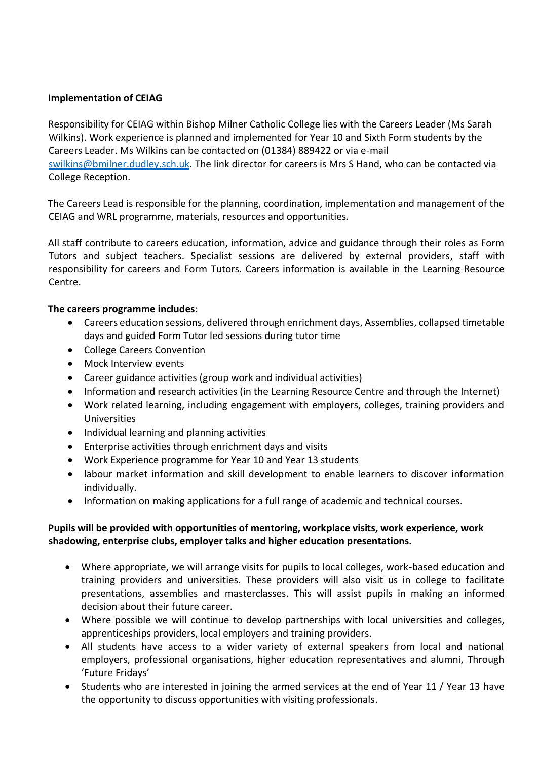# **Implementation of CEIAG**

Responsibility for CEIAG within Bishop Milner Catholic College lies with the Careers Leader (Ms Sarah Wilkins). Work experience is planned and implemented for Year 10 and Sixth Form students by the Careers Leader. Ms Wilkins can be contacted on (01384) 889422 or via e-mail [swilkins@bmilner.dudley.sch.uk.](mailto:swilkins@bmilner.dudley.sch.uk) The link director for careers is Mrs S Hand, who can be contacted via College Reception.

The Careers Lead is responsible for the planning, coordination, implementation and management of the CEIAG and WRL programme, materials, resources and opportunities.

All staff contribute to careers education, information, advice and guidance through their roles as Form Tutors and subject teachers. Specialist sessions are delivered by external providers, staff with responsibility for careers and Form Tutors. Careers information is available in the Learning Resource Centre.

## **The careers programme includes**:

- Careers education sessions, delivered through enrichment days, Assemblies, collapsed timetable days and guided Form Tutor led sessions during tutor time
- College Careers Convention
- Mock Interview events
- Career guidance activities (group work and individual activities)
- Information and research activities (in the Learning Resource Centre and through the Internet)
- Work related learning, including engagement with employers, colleges, training providers and Universities
- Individual learning and planning activities
- Enterprise activities through enrichment days and visits
- Work Experience programme for Year 10 and Year 13 students
- labour market information and skill development to enable learners to discover information individually.
- Information on making applications for a full range of academic and technical courses.

# **Pupils will be provided with opportunities of mentoring, workplace visits, work experience, work shadowing, enterprise clubs, employer talks and higher education presentations.**

- Where appropriate, we will arrange visits for pupils to local colleges, work-based education and training providers and universities. These providers will also visit us in college to facilitate presentations, assemblies and masterclasses. This will assist pupils in making an informed decision about their future career.
- Where possible we will continue to develop partnerships with local universities and colleges, apprenticeships providers, local employers and training providers.
- All students have access to a wider variety of external speakers from local and national employers, professional organisations, higher education representatives and alumni, Through 'Future Fridays'
- Students who are interested in joining the armed services at the end of Year 11 / Year 13 have the opportunity to discuss opportunities with visiting professionals.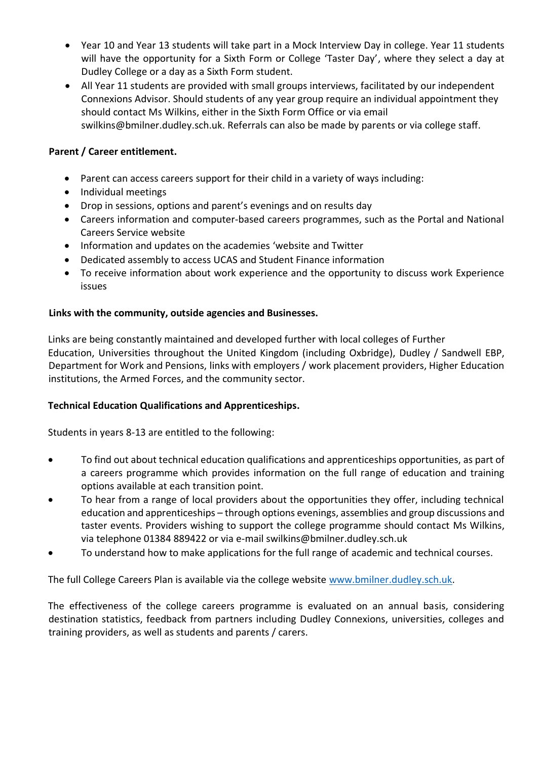- Year 10 and Year 13 students will take part in a Mock Interview Day in college. Year 11 students will have the opportunity for a Sixth Form or College 'Taster Day', where they select a day at Dudley College or a day as a Sixth Form student.
- All Year 11 students are provided with small groups interviews, facilitated by our independent Connexions Advisor. Should students of any year group require an individual appointment they should contact Ms Wilkins, either in the Sixth Form Office or via email swilkins@bmilner.dudley.sch.uk. Referrals can also be made by parents or via college staff.

# **Parent / Career entitlement.**

- Parent can access careers support for their child in a variety of ways including:
- Individual meetings
- Drop in sessions, options and parent's evenings and on results day
- Careers information and computer-based careers programmes, such as the Portal and National Careers Service website
- Information and updates on the academies 'website and Twitter
- Dedicated assembly to access UCAS and Student Finance information
- To receive information about work experience and the opportunity to discuss work Experience issues

# **Links with the community, outside agencies and Businesses.**

Links are being constantly maintained and developed further with local colleges of Further Education, Universities throughout the United Kingdom (including Oxbridge), Dudley / Sandwell EBP, Department for Work and Pensions, links with employers / work placement providers, Higher Education institutions, the Armed Forces, and the community sector.

# **Technical Education Qualifications and Apprenticeships.**

Students in years 8-13 are entitled to the following:

- To find out about technical education qualifications and apprenticeships opportunities, as part of a careers programme which provides information on the full range of education and training options available at each transition point.
- To hear from a range of local providers about the opportunities they offer, including technical education and apprenticeships – through options evenings, assemblies and group discussions and taster events. Providers wishing to support the college programme should contact Ms Wilkins, via telephone 01384 889422 or via e-mail swilkins@bmilner.dudley.sch.uk
- To understand how to make applications for the full range of academic and technical courses.

The full College Careers Plan is available via the college website [www.bmilner.dudley.sch.uk.](http://www.bmilner.dudley.sch.uk/)

The effectiveness of the college careers programme is evaluated on an annual basis, considering destination statistics, feedback from partners including Dudley Connexions, universities, colleges and training providers, as well as students and parents / carers.